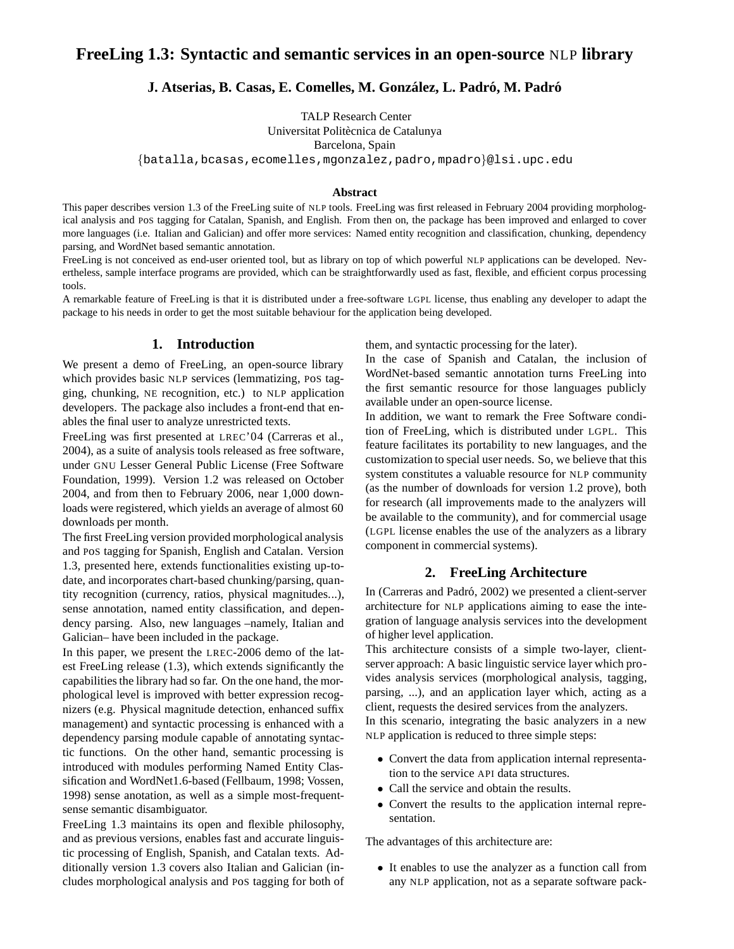# **FreeLing 1.3: Syntactic and semantic services in an open-source** NLP **library**

## **J.** Atserias, B. Casas, E. Comelles, M. González, L. Padró, M. Padró

TALP Research Center

Universitat Politècnica de Catalunya

Barcelona, Spain

{batalla,bcasas,ecomelles,mgonzalez,padro,mpadro}@lsi.upc.edu

#### **Abstract**

This paper describes version 1.3 of the FreeLing suite of NLP tools. FreeLing was first released in February 2004 providing morphological analysis and PoS tagging for Catalan, Spanish, and English. From then on, the package has been improved and enlarged to cover more languages (i.e. Italian and Galician) and offer more services: Named entity recognition and classification, chunking, dependency parsing, and WordNet based semantic annotation.

FreeLing is not conceived as end-user oriented tool, but as library on top of which powerful NLP applications can be developed. Nevertheless, sample interface programs are provided, which can be straightforwardly used as fast, flexible, and efficient corpus processing tools.

A remarkable feature of FreeLing is that it is distributed under a free-software LGPL license, thus enabling any developer to adapt the package to his needs in order to get the most suitable behaviour for the application being developed.

## **1. Introduction**

We present a demo of FreeLing, an open-source library which provides basic NLP services (lemmatizing, PoS tagging, chunking, NE recognition, etc.) to NLP application developers. The package also includes a front-end that enables the final user to analyze unrestricted texts.

FreeLing was first presented at LREC'04 (Carreras et al., 2004), as a suite of analysis tools released as free software, under GNU Lesser General Public License (Free Software Foundation, 1999). Version 1.2 was released on October 2004, and from then to February 2006, near 1,000 downloads were registered, which yields an average of almost 60 downloads per month.

The first FreeLing version provided morphological analysis and PoS tagging for Spanish, English and Catalan. Version 1.3, presented here, extends functionalities existing up-todate, and incorporates chart-based chunking/parsing, quantity recognition (currency, ratios, physical magnitudes...), sense annotation, named entity classification, and dependency parsing. Also, new languages –namely, Italian and Galician– have been included in the package.

In this paper, we present the LREC-2006 demo of the latest FreeLing release (1.3), which extends significantly the capabilities the library had so far. On the one hand, the morphological level is improved with better expression recognizers (e.g. Physical magnitude detection, enhanced suffix management) and syntactic processing is enhanced with a dependency parsing module capable of annotating syntactic functions. On the other hand, semantic processing is introduced with modules performing Named Entity Classification and WordNet1.6-based (Fellbaum, 1998; Vossen, 1998) sense anotation, as well as a simple most-frequentsense semantic disambiguator.

FreeLing 1.3 maintains its open and flexible philosophy, and as previous versions, enables fast and accurate linguistic processing of English, Spanish, and Catalan texts. Additionally version 1.3 covers also Italian and Galician (includes morphological analysis and PoS tagging for both of them, and syntactic processing for the later).

In the case of Spanish and Catalan, the inclusion of WordNet-based semantic annotation turns FreeLing into the first semantic resource for those languages publicly available under an open-source license.

In addition, we want to remark the Free Software condition of FreeLing, which is distributed under LGPL. This feature facilitates its portability to new languages, and the customization to special user needs. So, we believe that this system constitutes a valuable resource for NLP community (as the number of downloads for version 1.2 prove), both for research (all improvements made to the analyzers will be available to the community), and for commercial usage (LGPL license enables the use of the analyzers as a library component in commercial systems).

## **2. FreeLing Architecture**

In (Carreras and Padró, 2002) we presented a client-server architecture for NLP applications aiming to ease the integration of language analysis services into the development of higher level application.

This architecture consists of a simple two-layer, clientserver approach: A basic linguistic service layer which provides analysis services (morphological analysis, tagging, parsing, ...), and an application layer which, acting as a client, requests the desired services from the analyzers.

In this scenario, integrating the basic analyzers in a new NLP application is reduced to three simple steps:

- Convert the data from application internal representation to the service API data structures.
- Call the service and obtain the results.
- Convert the results to the application internal representation.

The advantages of this architecture are:

• It enables to use the analyzer as a function call from any NLP application, not as a separate software pack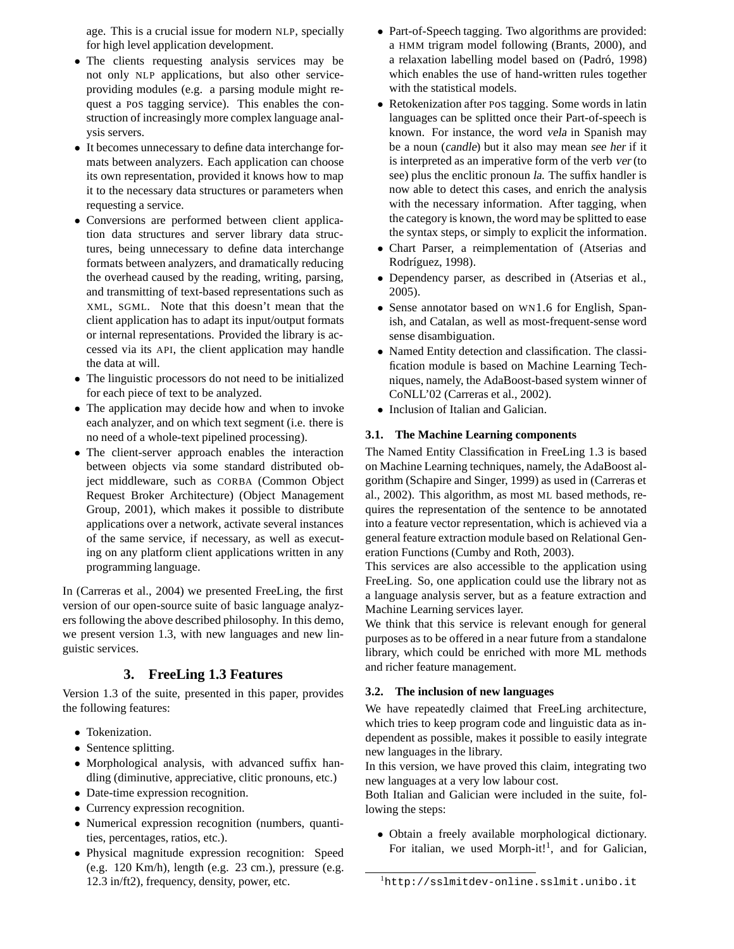age. This is a crucial issue for modern NLP, specially for high level application development.

- The clients requesting analysis services may be not only NLP applications, but also other serviceproviding modules (e.g. a parsing module might request a PoS tagging service). This enables the construction of increasingly more complex language analysis servers.
- It becomes unnecessary to define data interchange formats between analyzers. Each application can choose its own representation, provided it knows how to map it to the necessary data structures or parameters when requesting a service.
- Conversions are performed between client application data structures and server library data structures, being unnecessary to define data interchange formats between analyzers, and dramatically reducing the overhead caused by the reading, writing, parsing, and transmitting of text-based representations such as XML, SGML. Note that this doesn't mean that the client application has to adapt its input/output formats or internal representations. Provided the library is accessed via its API, the client application may handle the data at will.
- The linguistic processors do not need to be initialized for each piece of text to be analyzed.
- The application may decide how and when to invoke each analyzer, and on which text segment (i.e. there is no need of a whole-text pipelined processing).
- The client-server approach enables the interaction between objects via some standard distributed object middleware, such as CORBA (Common Object Request Broker Architecture) (Object Management Group, 2001), which makes it possible to distribute applications over a network, activate several instances of the same service, if necessary, as well as executing on any platform client applications written in any programming language.

In (Carreras et al., 2004) we presented FreeLing, the first version of our open-source suite of basic language analyzers following the above described philosophy. In this demo, we present version 1.3, with new languages and new linguistic services.

## **3. FreeLing 1.3 Features**

Version 1.3 of the suite, presented in this paper, provides the following features:

- Tokenization.
- Sentence splitting.
- Morphological analysis, with advanced suffix handling (diminutive, appreciative, clitic pronouns, etc.)
- Date-time expression recognition.
- Currency expression recognition.
- Numerical expression recognition (numbers, quantities, percentages, ratios, etc.).
- Physical magnitude expression recognition: Speed (e.g. 120 Km/h), length (e.g. 23 cm.), pressure (e.g. 12.3 in/ft2), frequency, density, power, etc.
- Part-of-Speech tagging. Two algorithms are provided: a HMM trigram model following (Brants, 2000), and a relaxation labelling model based on (Padró, 1998) which enables the use of hand-written rules together with the statistical models.
- Retokenization after Pos tagging. Some words in latin languages can be splitted once their Part-of-speech is known. For instance, the word vela in Spanish may be a noun (candle) but it also may mean see her if it is interpreted as an imperative form of the verb ver (to see) plus the enclitic pronoun la. The suffix handler is now able to detect this cases, and enrich the analysis with the necessary information. After tagging, when the category is known, the word may be splitted to ease the syntax steps, or simply to explicit the information.
- Chart Parser, a reimplementation of (Atserias and Rodríguez, 1998).
- Dependency parser, as described in (Atserias et al., 2005).
- Sense annotator based on WN1.6 for English, Spanish, and Catalan, as well as most-frequent-sense word sense disambiguation.
- Named Entity detection and classification. The classification module is based on Machine Learning Techniques, namely, the AdaBoost-based system winner of CoNLL'02 (Carreras et al., 2002).
- Inclusion of Italian and Galician.

### **3.1. The Machine Learning components**

The Named Entity Classification in FreeLing 1.3 is based on Machine Learning techniques, namely, the AdaBoost algorithm (Schapire and Singer, 1999) as used in (Carreras et al., 2002). This algorithm, as most ML based methods, requires the representation of the sentence to be annotated into a feature vector representation, which is achieved via a general feature extraction module based on Relational Generation Functions (Cumby and Roth, 2003).

This services are also accessible to the application using FreeLing. So, one application could use the library not as a language analysis server, but as a feature extraction and Machine Learning services layer.

We think that this service is relevant enough for general purposes as to be offered in a near future from a standalone library, which could be enriched with more ML methods and richer feature management.

### **3.2. The inclusion of new languages**

We have repeatedly claimed that FreeLing architecture, which tries to keep program code and linguistic data as independent as possible, makes it possible to easily integrate new languages in the library.

In this version, we have proved this claim, integrating two new languages at a very low labour cost.

Both Italian and Galician were included in the suite, following the steps:

• Obtain a freely available morphological dictionary. For italian, we used Morph-it!<sup>1</sup>, and for Galician,

<sup>1</sup>http://sslmitdev-online.sslmit.unibo.it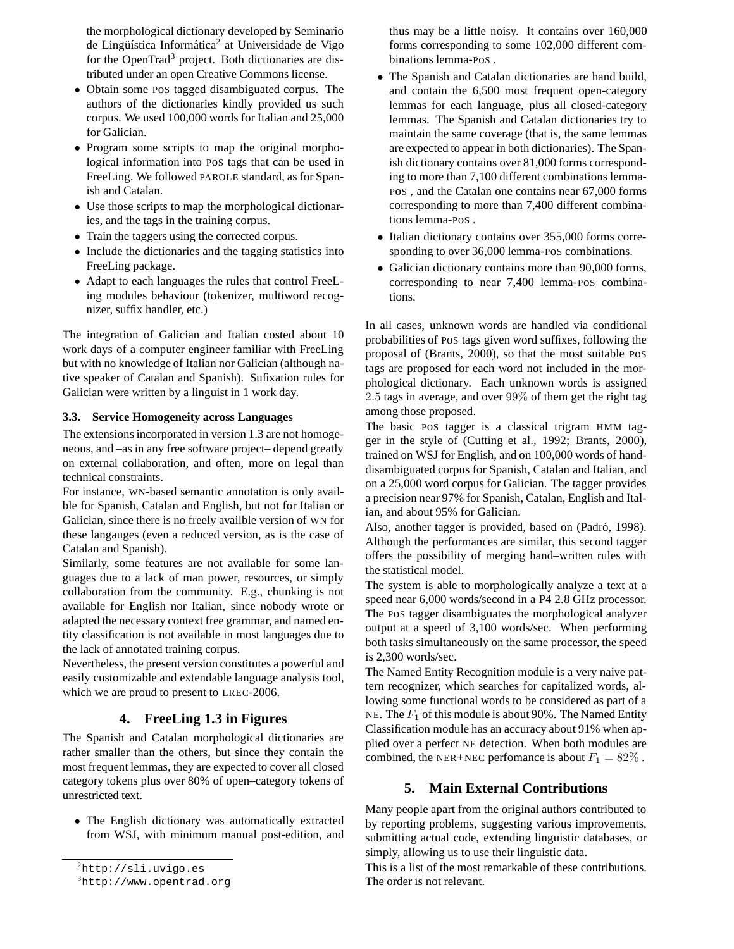the morphological dictionary developed by Seminario de Lingüística Informática<sup>2</sup> at Universidade de Vigo for the OpenTrad<sup>3</sup> project. Both dictionaries are distributed under an open Creative Commons license.

- Obtain some PoS tagged disambiguated corpus. The authors of the dictionaries kindly provided us such corpus. We used 100,000 words for Italian and 25,000 for Galician.
- Program some scripts to map the original morphological information into PoS tags that can be used in FreeLing. We followed PAROLE standard, as for Spanish and Catalan.
- Use those scripts to map the morphological dictionaries, and the tags in the training corpus.
- Train the taggers using the corrected corpus.
- Include the dictionaries and the tagging statistics into FreeLing package.
- Adapt to each languages the rules that control FreeLing modules behaviour (tokenizer, multiword recognizer, suffix handler, etc.)

The integration of Galician and Italian costed about 10 work days of a computer engineer familiar with FreeLing but with no knowledge of Italian nor Galician (although native speaker of Catalan and Spanish). Sufixation rules for Galician were written by a linguist in 1 work day.

### **3.3. Service Homogeneity across Languages**

The extensions incorporated in version 1.3 are not homogeneous, and –as in any free software project– depend greatly on external collaboration, and often, more on legal than technical constraints.

For instance, WN-based semantic annotation is only availble for Spanish, Catalan and English, but not for Italian or Galician, since there is no freely availble version of WN for these langauges (even a reduced version, as is the case of Catalan and Spanish).

Similarly, some features are not available for some languages due to a lack of man power, resources, or simply collaboration from the community. E.g., chunking is not available for English nor Italian, since nobody wrote or adapted the necessary context free grammar, and named entity classification is not available in most languages due to the lack of annotated training corpus.

Nevertheless, the present version constitutes a powerful and easily customizable and extendable language analysis tool, which we are proud to present to LREC-2006.

# **4. FreeLing 1.3 in Figures**

The Spanish and Catalan morphological dictionaries are rather smaller than the others, but since they contain the most frequent lemmas, they are expected to cover all closed category tokens plus over 80% of open–category tokens of unrestricted text.

• The English dictionary was automatically extracted from WSJ, with minimum manual post-edition, and thus may be a little noisy. It contains over 160,000 forms corresponding to some 102,000 different combinations lemma-PoS .

- The Spanish and Catalan dictionaries are hand build, and contain the 6,500 most frequent open-category lemmas for each language, plus all closed-category lemmas. The Spanish and Catalan dictionaries try to maintain the same coverage (that is, the same lemmas are expected to appear in both dictionaries). The Spanish dictionary contains over 81,000 forms corresponding to more than 7,100 different combinations lemma-PoS , and the Catalan one contains near 67,000 forms corresponding to more than 7,400 different combinations lemma-PoS .
- Italian dictionary contains over 355,000 forms corresponding to over 36,000 lemma-PoS combinations.
- Galician dictionary contains more than 90,000 forms, corresponding to near 7,400 lemma-PoS combinations.

In all cases, unknown words are handled via conditional probabilities of PoS tags given word suffixes, following the proposal of (Brants, 2000), so that the most suitable PoS tags are proposed for each word not included in the morphological dictionary. Each unknown words is assigned 2.5 tags in average, and over 99% of them get the right tag among those proposed.

The basic PoS tagger is a classical trigram HMM tagger in the style of (Cutting et al., 1992; Brants, 2000), trained on WSJ for English, and on 100,000 words of handdisambiguated corpus for Spanish, Catalan and Italian, and on a 25,000 word corpus for Galician. The tagger provides a precision near 97% for Spanish, Catalan, English and Italian, and about 95% for Galician.

Also, another tagger is provided, based on (Padró, 1998). Although the performances are similar, this second tagger offers the possibility of merging hand–written rules with the statistical model.

The system is able to morphologically analyze a text at a speed near 6,000 words/second in a P4 2.8 GHz processor. The PoS tagger disambiguates the morphological analyzer output at a speed of 3,100 words/sec. When performing both tasks simultaneously on the same processor, the speed is 2,300 words/sec.

The Named Entity Recognition module is a very naive pattern recognizer, which searches for capitalized words, allowing some functional words to be considered as part of a NE. The  $F_1$  of this module is about 90%. The Named Entity Classification module has an accuracy about 91% when applied over a perfect NE detection. When both modules are combined, the NER+NEC perfomance is about  $F_1 = 82\%$ .

# **5. Main External Contributions**

Many people apart from the original authors contributed to by reporting problems, suggesting various improvements, submitting actual code, extending linguistic databases, or simply, allowing us to use their linguistic data.

This is a list of the most remarkable of these contributions. The order is not relevant.

<sup>2</sup>http://sli.uvigo.es

 ${}^{3}$ http://www.opentrad.org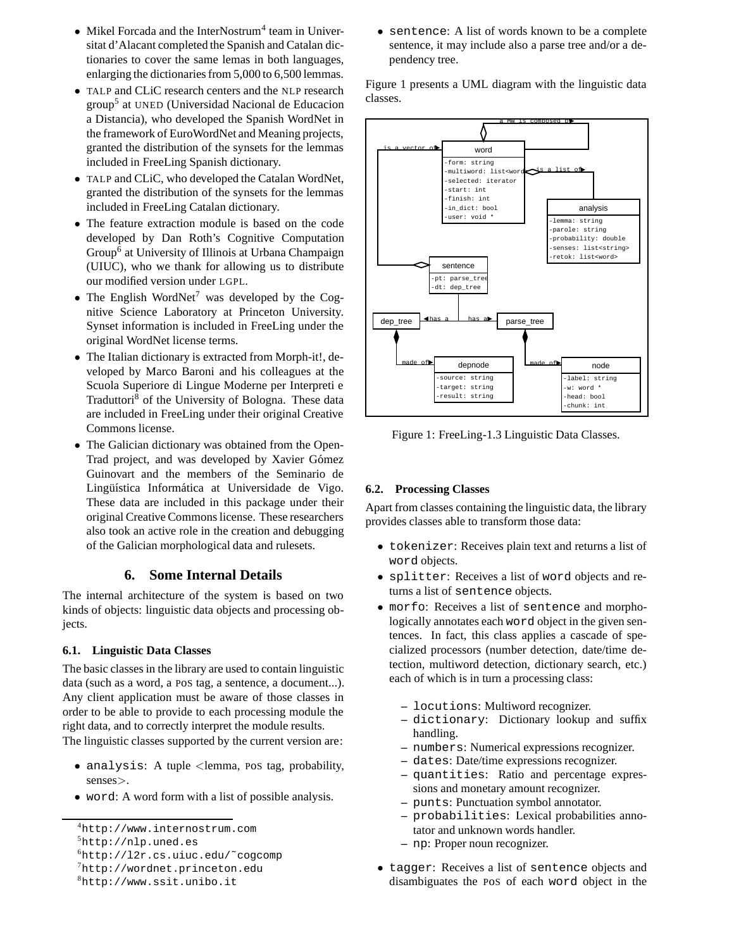- Mikel Forcada and the InterNostrum<sup>4</sup> team in Universitat d'Alacant completed the Spanish and Catalan dictionaries to cover the same lemas in both languages, enlarging the dictionaries from 5,000 to 6,500 lemmas.
- TALP and CLiC research centers and the NLP research group<sup>5</sup> at UNED (Universidad Nacional de Educacion a Distancia), who developed the Spanish WordNet in the framework of EuroWordNet and Meaning projects, granted the distribution of the synsets for the lemmas included in FreeLing Spanish dictionary.
- TALP and CLiC, who developed the Catalan WordNet, granted the distribution of the synsets for the lemmas included in FreeLing Catalan dictionary.
- The feature extraction module is based on the code developed by Dan Roth's Cognitive Computation Group<sup>6</sup> at University of Illinois at Urbana Champaign (UIUC), who we thank for allowing us to distribute our modified version under LGPL.
- The English WordNet<sup>7</sup> was developed by the Cognitive Science Laboratory at Princeton University. Synset information is included in FreeLing under the original WordNet license terms.
- The Italian dictionary is extracted from Morph-it!, developed by Marco Baroni and his colleagues at the Scuola Superiore di Lingue Moderne per Interpreti e Traduttori<sup>8</sup> of the University of Bologna. These data are included in FreeLing under their original Creative Commons license.
- The Galician dictionary was obtained from the Open-Trad project, and was developed by Xavier Gómez Guinovart and the members of the Seminario de Lingüística Informática at Universidade de Vigo. These data are included in this package under their original Creative Commons license. These researchers also took an active role in the creation and debugging of the Galician morphological data and rulesets.

### **6. Some Internal Details**

The internal architecture of the system is based on two kinds of objects: linguistic data objects and processing objects.

### **6.1. Linguistic Data Classes**

The basic classes in the library are used to contain linguistic data (such as a word, a PoS tag, a sentence, a document...). Any client application must be aware of those classes in order to be able to provide to each processing module the right data, and to correctly interpret the module results.

The linguistic classes supported by the current version are:

- analysis: A tuple <lemma, <sup>P</sup>o<sup>S</sup> tag, probability, senses>.
- word: A word form with a list of possible analysis.

• sentence: A list of words known to be a complete sentence, it may include also a parse tree and/or a dependency tree.

Figure 1 presents a UML diagram with the linguistic data classes.



Figure 1: FreeLing-1.3 Linguistic Data Classes.

#### **6.2. Processing Classes**

Apart from classes containing the linguistic data, the library provides classes able to transform those data:

- tokenizer: Receives plain text and returns a list of word objects.
- splitter: Receives a list of word objects and returns a list of sentence objects.
- morfo: Receives a list of sentence and morphologically annotates each word object in the given sentences. In fact, this class applies a cascade of specialized processors (number detection, date/time detection, multiword detection, dictionary search, etc.) each of which is in turn a processing class:
	- **–** locutions: Multiword recognizer.
	- **–** dictionary: Dictionary lookup and suffix handling.
	- **–** numbers: Numerical expressions recognizer.
	- **–** dates: Date/time expressions recognizer.
	- **–** quantities: Ratio and percentage expressions and monetary amount recognizer.
	- **–** punts: Punctuation symbol annotator.
	- **–** probabilities: Lexical probabilities annotator and unknown words handler.
	- **–** np: Proper noun recognizer.
- tagger: Receives a list of sentence objects and disambiguates the PoS of each word object in the

<sup>4</sup>http://www.internostrum.com

 $5$ http://nlp.uned.es

<sup>6</sup>http://l2r.cs.uiuc.edu/˜cogcomp

<sup>7</sup>http://wordnet.princeton.edu

<sup>8</sup>http://www.ssit.unibo.it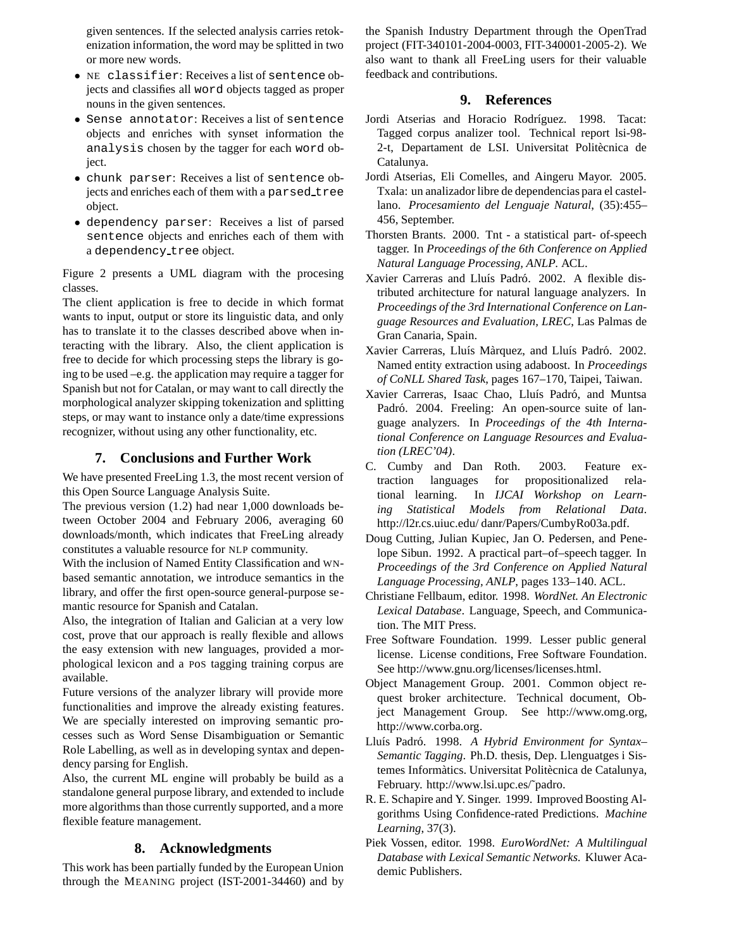given sentences. If the selected analysis carries retokenization information, the word may be splitted in two or more new words.

- NE classifier: Receives a list of sentence objects and classifies all word objects tagged as proper nouns in the given sentences.
- Sense annotator: Receives a list of sentence objects and enriches with synset information the analysis chosen by the tagger for each word object.
- chunk parser: Receives a list of sentence objects and enriches each of them with a parsed tree object.
- dependency parser: Receives a list of parsed sentence objects and enriches each of them with a dependency tree object.

Figure 2 presents a UML diagram with the procesing classes.

The client application is free to decide in which format wants to input, output or store its linguistic data, and only has to translate it to the classes described above when interacting with the library. Also, the client application is free to decide for which processing steps the library is going to be used –e.g. the application may require a tagger for Spanish but not for Catalan, or may want to call directly the morphological analyzer skipping tokenization and splitting steps, or may want to instance only a date/time expressions recognizer, without using any other functionality, etc.

## **7. Conclusions and Further Work**

We have presented FreeLing 1.3, the most recent version of this Open Source Language Analysis Suite.

The previous version (1.2) had near 1,000 downloads between October 2004 and February 2006, averaging 60 downloads/month, which indicates that FreeLing already constitutes a valuable resource for NLP community.

With the inclusion of Named Entity Classification and WNbased semantic annotation, we introduce semantics in the library, and offer the first open-source general-purpose semantic resource for Spanish and Catalan.

Also, the integration of Italian and Galician at a very low cost, prove that our approach is really flexible and allows the easy extension with new languages, provided a morphological lexicon and a PoS tagging training corpus are available.

Future versions of the analyzer library will provide more functionalities and improve the already existing features. We are specially interested on improving semantic processes such as Word Sense Disambiguation or Semantic Role Labelling, as well as in developing syntax and dependency parsing for English.

Also, the current ML engine will probably be build as a standalone general purpose library, and extended to include more algorithms than those currently supported, and a more flexible feature management.

### **8. Acknowledgments**

This work has been partially funded by the European Union through the MEANING project (IST-2001-34460) and by

the Spanish Industry Department through the OpenTrad project (FIT-340101-2004-0003, FIT-340001-2005-2). We also want to thank all FreeLing users for their valuable feedback and contributions.

## **9. References**

- Jordi Atserias and Horacio Rodríguez. 1998. Tacat: Tagged corpus analizer tool. Technical report lsi-98- 2-t, Departament de LSI. Universitat Politècnica de Catalunya.
- Jordi Atserias, Eli Comelles, and Aingeru Mayor. 2005. Txala: un analizador libre de dependencias para el castellano. *Procesamiento del Lenguaje Natural*, (35):455– 456, September.
- Thorsten Brants. 2000. Tnt a statistical part- of-speech tagger. In *Proceedings of the 6th Conference on Applied Natural Language Processing, ANLP*. ACL.
- Xavier Carreras and Lluís Padró. 2002. A flexible distributed architecture for natural language analyzers. In *Proceedings of the 3rd International Conference on Language Resources and Evaluation, LREC*, Las Palmas de Gran Canaria, Spain.
- Xavier Carreras, Lluís Màrquez, and Lluís Padró. 2002. Named entity extraction using adaboost. In *Proceedings of CoNLL Shared Task*, pages 167–170, Taipei, Taiwan.
- Xavier Carreras, Isaac Chao, Lluís Padró, and Muntsa Padró. 2004. Freeling: An open-source suite of language analyzers. In *Proceedings of the 4th International Conference on Language Resources and Evaluation (LREC'04)*.
- C. Cumby and Dan Roth. 2003. Feature extraction languages for propositionalized relational learning. In *IJCAI Workshop on Learning Statistical Models from Relational Data*. http://l2r.cs.uiuc.edu/ danr/Papers/CumbyRo03a.pdf.
- Doug Cutting, Julian Kupiec, Jan O. Pedersen, and Penelope Sibun. 1992. A practical part–of–speech tagger. In *Proceedings of the 3rd Conference on Applied Natural Language Processing, ANLP*, pages 133–140. ACL.
- Christiane Fellbaum, editor. 1998. *WordNet. An Electronic Lexical Database*. Language, Speech, and Communication. The MIT Press.
- Free Software Foundation. 1999. Lesser public general license. License conditions, Free Software Foundation. See http://www.gnu.org/licenses/licenses.html.
- Object Management Group. 2001. Common object request broker architecture. Technical document, Object Management Group. See http://www.omg.org, http://www.corba.org.
- Lluís Padró. 1998. *A Hybrid Environment for Syntax-Semantic Tagging*. Ph.D. thesis, Dep. Llenguatges i Sistemes Informàtics. Universitat Politècnica de Catalunya, February. http://www.lsi.upc.es/˜padro.
- R. E. Schapire and Y. Singer. 1999. Improved Boosting Algorithms Using Confidence-rated Predictions. *Machine Learning*, 37(3).
- Piek Vossen, editor. 1998. *EuroWordNet: A Multilingual Database with Lexical Semantic Networks*. Kluwer Academic Publishers.